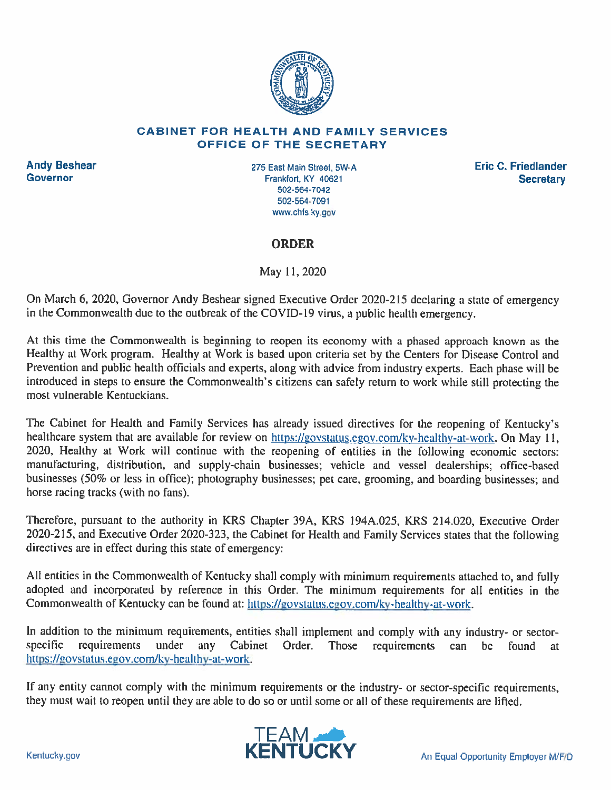

#### **CABINET FOR HEALTH AND FAMILY SERVICES OFFICE OF THE SECRETARY**

**Andy Beshear Governor** 

275 East Main Street, 5W-A Frankfort, KY 40621 502-564-7042 502-564-7091 www.chfs.ky.gov

**Eric C. Friedlander Secretary** 

#### **ORDER**

May 11, 2020

On March 6, 2020, Governor Andy Beshear signed Executive Order 2020-215 declaring a state of emergency in the Commonwealth due to the outbreak of the COVID-19 virus, a public health emergency.

At this time the Commonwealth is beginning to reopen its economy with a phased approach known as the Healthy at Work program. Healthy at Work is based upon criteria set by the Centers for Disease Control and Prevention and public health officials and experts, along with advice from industry experts. Each phase will be introduced in steps to ensure the Commonwealth's citizens can safely return to work while still protecting the most vulnerable Kentuckians.

The Cabinet for Health and Family Services has already issued directives for the reopening of Kentucky's healthcare system that are available for review on https://govstatus.egov.com/ky-healthy-at-work. On May 11, 2020, Healthy at Work will continue with the reopening of entities in the following economic sectors: manufacturing, distribution, and supply-chain businesses; vehicle and vessel dealerships; office-based businesses (50% or less in office); photography businesses; pet care, grooming, and boarding businesses; and horse racing tracks (with no fans).

Therefore, pursuant to the authority in KRS Chapter 39A, KRS 194A.025, KRS 214.020, Executive Order 2020-215, and Executive Order 2020-323, the Cabinet for Health and Family Services states that the following directives are in effect during this state of emergency:

All entities in the Commonwealth of Kentucky shall comply with minimum requirements attached to, and fully adopted and incorporated by reference in this Order. The minimum requirements for all entities in the Commonwealth of Kentucky can be found at: https://govstatus.egov.com/ky-healthy-at-work.

In addition to the minimum requirements, entities shall implement and comply with any industry- or sectorrequirements under any Cabinet Order. Those requirements can be found at specific https://govstatus.egov.com/ky-healthy-at-work.

If any entity cannot comply with the minimum requirements or the industry- or sector-specific requirements, they must wait to reopen until they are able to do so or until some or all of these requirements are lifted.

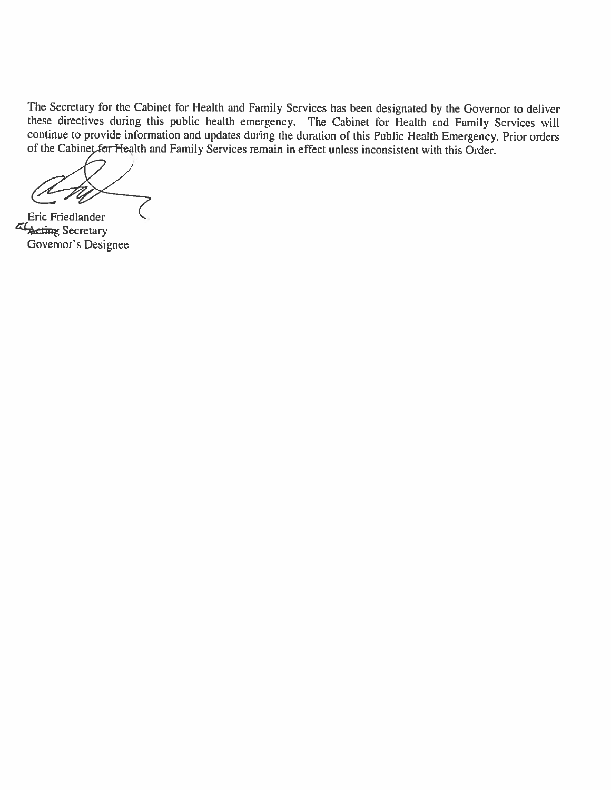The Secretary for the Cabinet for Health and Family Services has been designated by the Governor to deliver<br>these directives during this public health emergency. The Cabinet for Health and Family Services will<br>continue to

Eric Friedlander External Secretary<br>Governor's Designee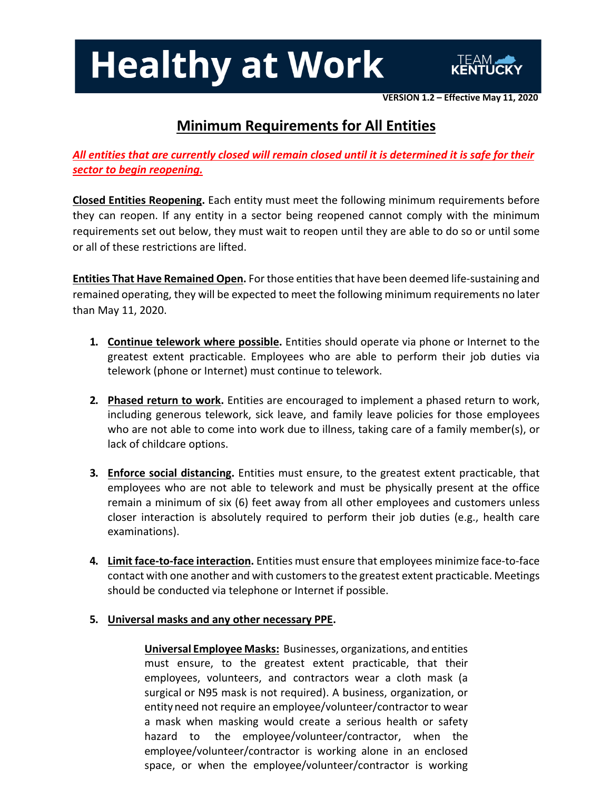

**VERSION 1.2 – Effective May 11, 2020**

### **Minimum Requirements for All Entities**

*All entities that are currently closed will remain closed until it is determined it is safe for their sector to begin reopening.*

**Closed Entities Reopening.** Each entity must meet the following minimum requirements before they can reopen. If any entity in a sector being reopened cannot comply with the minimum requirements set out below, they must wait to reopen until they are able to do so or until some or all of these restrictions are lifted.

**Entities That Have Remained Open.** For those entitiesthat have been deemed life-sustaining and remained operating, they will be expected to meet the following minimum requirements no later than May 11, 2020.

- **1. Continue telework where possible.** Entities should operate via phone or Internet to the greatest extent practicable. Employees who are able to perform their job duties via telework (phone or Internet) must continue to telework.
- **2. Phased return to work.** Entities are encouraged to implement a phased return to work, including generous telework, sick leave, and family leave policies for those employees who are not able to come into work due to illness, taking care of a family member(s), or lack of childcare options.
- **3. Enforce social distancing.** Entities must ensure, to the greatest extent practicable, that employees who are not able to telework and must be physically present at the office remain a minimum of six (6) feet away from all other employees and customers unless closer interaction is absolutely required to perform their job duties (e.g., health care examinations).
- **4. Limit face-to-face interaction.** Entities must ensure that employees minimize face-to-face contact with one another and with customers to the greatest extent practicable. Meetings should be conducted via telephone or Internet if possible.
- **5. Universal masks and any other necessary PPE.**

**Universal Employee Masks:** Businesses, organizations, and entities must ensure, to the greatest extent practicable, that their employees, volunteers, and contractors wear a cloth mask (a surgical or N95 mask is not required). A business, organization, or entity need not require an employee/volunteer/contractor to wear a mask when masking would create a serious health or safety hazard to the employee/volunteer/contractor, when the employee/volunteer/contractor is working alone in an enclosed space, or when the employee/volunteer/contractor is working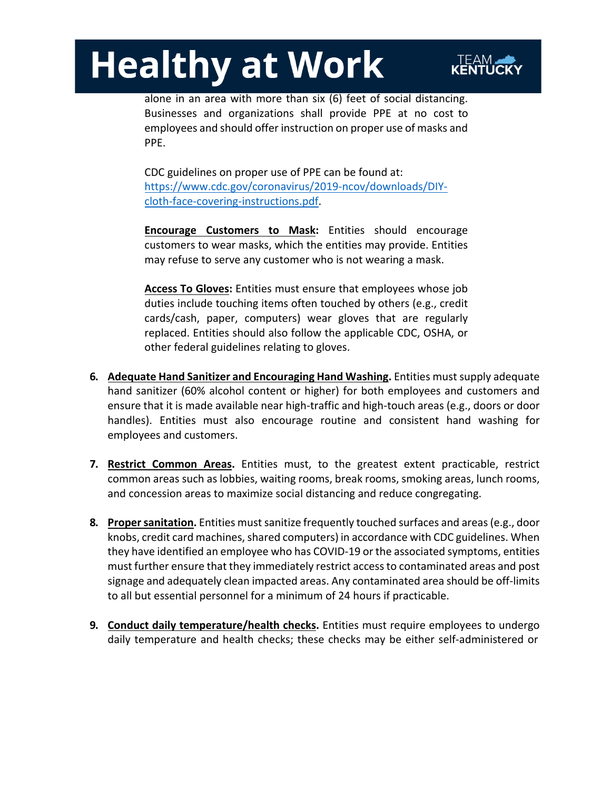

alone in an area with more than six (6) feet of social distancing. Businesses and organizations shall provide PPE at no cost to employees and should offer instruction on proper use of masks and PPE.

CDC guidelines on proper use of PPE can be found at: https://www.cdc.gov/coronavirus/2019-ncov/downloads/DIYcloth-face-covering-instructions.pdf.

**Encourage Customers to Mask:** Entities should encourage customers to wear masks, which the entities may provide. Entities may refuse to serve any customer who is not wearing a mask.

**Access To Gloves:** Entities must ensure that employees whose job duties include touching items often touched by others (e.g., credit cards/cash, paper, computers) wear gloves that are regularly replaced. Entities should also follow the applicable CDC, OSHA, or other federal guidelines relating to gloves.

- **6. Adequate Hand Sanitizer and Encouraging Hand Washing.** Entities mustsupply adequate hand sanitizer (60% alcohol content or higher) for both employees and customers and ensure that it is made available near high-traffic and high-touch areas (e.g., doors or door handles). Entities must also encourage routine and consistent hand washing for employees and customers.
- **7. Restrict Common Areas.** Entities must, to the greatest extent practicable, restrict common areas such as lobbies, waiting rooms, break rooms, smoking areas, lunch rooms, and concession areas to maximize social distancing and reduce congregating.
- **8.** Proper sanitation. Entities must sanitize frequently touched surfaces and areas (e.g., door knobs, credit card machines, shared computers) in accordance with CDC guidelines. When they have identified an employee who has COVID-19 or the associated symptoms, entities must further ensure that they immediately restrict accessto contaminated areas and post signage and adequately clean impacted areas. Any contaminated area should be off-limits to all but essential personnel for a minimum of 24 hours if practicable.
- **9. Conduct daily temperature/health checks.** Entities must require employees to undergo daily temperature and health checks; these checks may be either self-administered or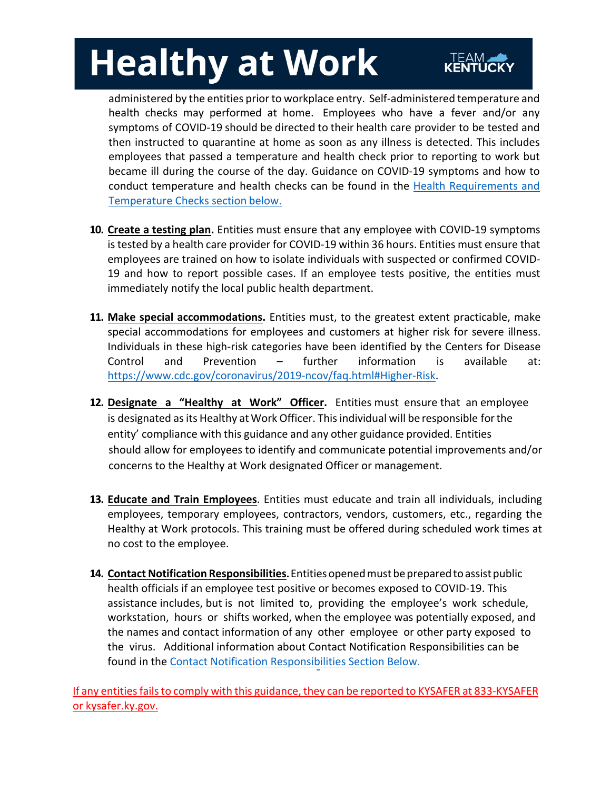administered by the entities prior to workplace entry. Self-administered temperature and health checks may performed at home. Employees who have a fever and/or any symptoms of COVID-19 should be directed to their health care provider to be tested and then instructed to quarantine at home as soon as any illness is detected. This includes employees that passed a temperature and health check prior to reporting to work but became ill during the course of the day. Guidance on COVID-19 symptoms and how to [conduct temperature and health checks can be found in the Health Requirements and](#page-5-0) Temperature Checks section below.

- **10. Create a testing plan.** Entities must ensure that any employee with COVID-19 symptoms is tested by a health care provider for COVID-19 within 36 hours. Entities must ensure that employees are trained on how to isolate individuals with suspected or confirmed COVID-19 and how to report possible cases. If an employee tests positive, the entities must immediately notify the local public health department.
- **11. Make special accommodations.** Entities must, to the greatest extent practicable, make special accommodations for employees and customers at higher risk for severe illness. Individuals in these high-risk categories have been identified by the Centers for Disease Control and Prevention – further information is available at: https://www.cdc.gov/coronavirus/2019-ncov/faq.html#Higher-Risk.
- **12. Designate a "Healthy at Work" Officer.** Entities must ensure that an employee is designated as its Healthy at Work Officer. This individual will be responsible for the entity' compliance with this guidance and any other guidance provided. Entities should allow for employees to identify and communicate potential improvements and/or concerns to the Healthy at Work designated Officer or management.
- **13. Educate and Train Employees**. Entities must educate and train all individuals, including employees, temporary employees, contractors, vendors, customers, etc., regarding the Healthy at Work protocols. This training must be offered during scheduled work times at no cost to the employee.
- **14. Contact Notification Responsibilities.**Entitiesopenedmustbepreparedtoassistpublic health officials if an employee test positive or becomes exposed to COVID-19. This assistance includes, but is not limited to, providing the employee's work schedule, workstation, hours or shifts worked, when the employee was potentially exposed, and the names and contact information of any other employee or other party exposed to the virus. Additional information about Contact Notification Responsibilities can be found in the [Contact Notification Responsibilities Section Below](#page-7-0).

If any entities fails to comply with this guidance, they can be reported to KYSAFER at 833-KYSAFER or kysafer.ky.gov.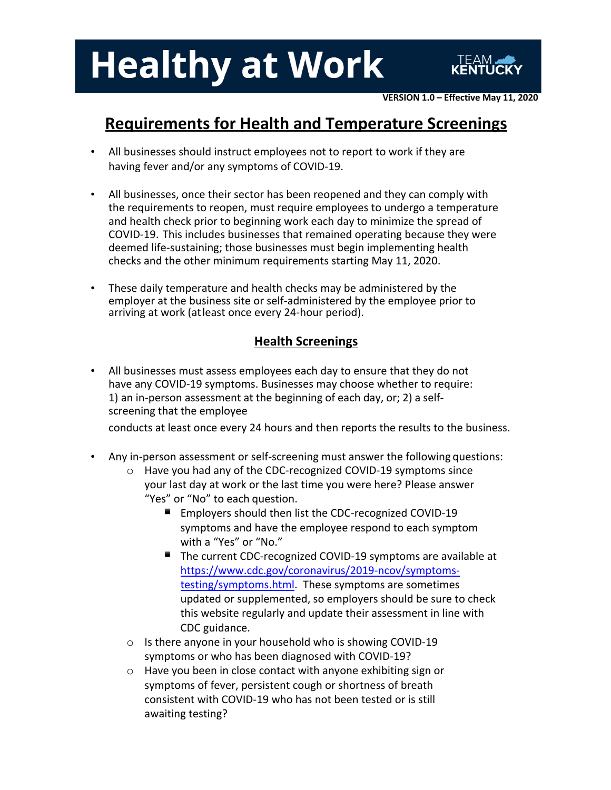

### <span id="page-5-0"></span>**Requirements for Health and Temperature Screenings**

- All businesses should instruct employees not to report to work if they are having fever and/or any symptoms of COVID-19.
- All businesses, once their sector has been reopened and they can comply with the requirements to reopen, must require employees to undergo a temperature and health check prior to beginning work each day to minimize the spread of COVID-19. This includes businesses that remained operating because they were deemed life-sustaining; those businesses must begin implementing health checks and the other minimum requirements starting May 11, 2020.
- These daily temperature and health checks may be administered by the employer at the business site or self-administered by the employee prior to arriving at work (atleast once every 24-hour period).

### **Health Screenings**

• All businesses must assess employees each day to ensure that they do not have any COVID-19 symptoms. Businesses may choose whether to require: 1) an in-person assessment at the beginning of each day, or; 2) a selfscreening that the employee

conducts at least once every 24 hours and then reports the results to the business.

- Any in-person assessment or self-screening must answer the following questions:
	- o Have you had any of the CDC-recognized COVID-19 symptoms since your last day at work or the last time you were here? Please answer "Yes" or "No" to each question.
		- Employers should then list the CDC-recognized COVID-19 symptoms and have the employee respond to each symptom with a "Yes" or "No."
		- The current CDC-recognized COVID-19 symptoms are available at https://www.cdc.gov/coronavirus/2019-ncov/symptomstesting/symptoms.html. These symptoms are sometimes updated or supplemented, so employers should be sure to check this website regularly and update their assessment in line with CDC guidance.
	- o Is there anyone in your household who is showing COVID-19 symptoms or who has been diagnosed with COVID-19?
	- o Have you been in close contact with anyone exhibiting sign or symptoms of fever, persistent cough or shortness of breath consistent with COVID-19 who has not been tested or is still awaiting testing?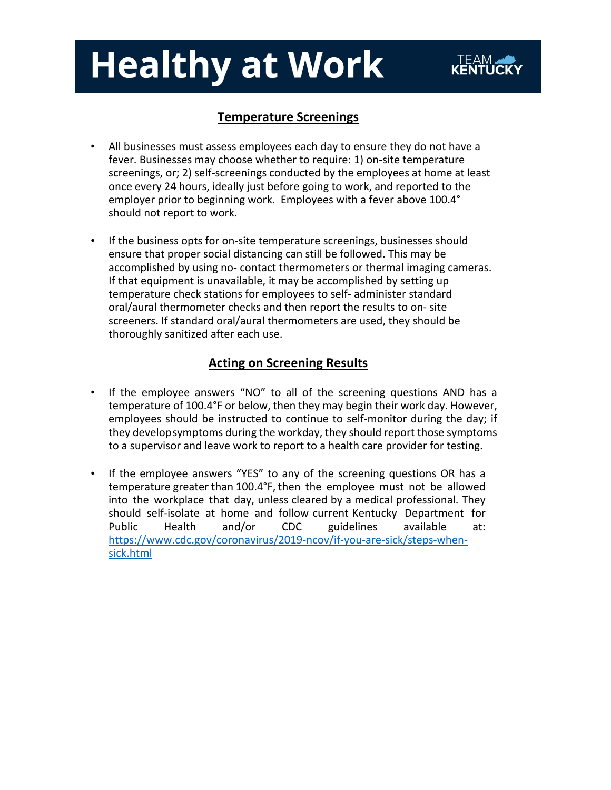### **Temperature Screenings**

- All businesses must assess employees each day to ensure they do not have a fever. Businesses may choose whether to require: 1) on-site temperature screenings, or; 2) self-screenings conducted by the employees at home at least once every 24 hours, ideally just before going to work, and reported to the employer prior to beginning work. Employees with a fever above 100.4° should not report to work.
- If the business opts for on-site temperature screenings, businesses should ensure that proper social distancing can still be followed. This may be accomplished by using no- contact thermometers or thermal imaging cameras. If that equipment is unavailable, it may be accomplished by setting up temperature check stations for employees to self- administer standard oral/aural thermometer checks and then report the results to on- site screeners. If standard oral/aural thermometers are used, they should be thoroughly sanitized after each use.

#### **Acting on Screening Results**

- If the employee answers "NO" to all of the screening questions AND has a temperature of 100.4°F or below, then they may begin their work day. However, employees should be instructed to continue to self-monitor during the day; if they developsymptoms during the workday, they should report those symptoms to a supervisor and leave work to report to a health care provider for testing.
- If the employee answers "YES" to any of the screening questions OR has a temperature greater than 100.4°F, then the employee must not be allowed into the workplace that day, unless cleared by a medical professional. They should self-isolate at home and follow current Kentucky Department for Public Health and/or CDC guidelines available at: https://www.cdc.gov/coronavirus/2019-ncov/if-you-are-sick/steps-whensick.html